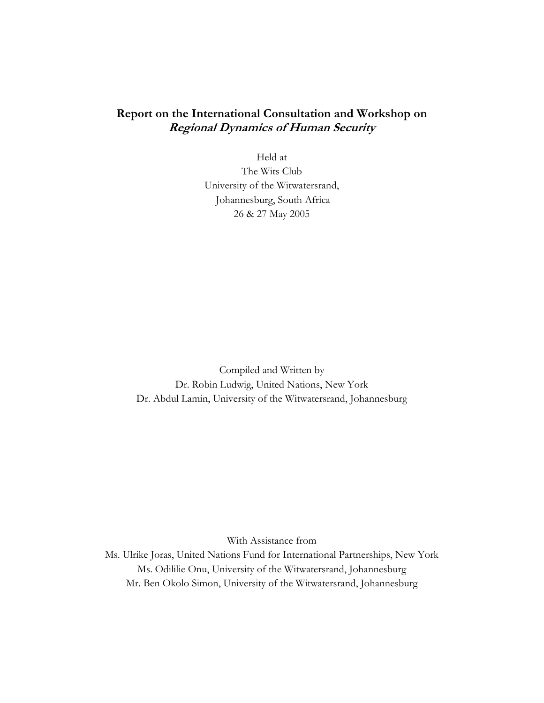# **Report on the International Consultation and Workshop on Regional Dynamics of Human Security**

Held at The Wits Club University of the Witwatersrand, Johannesburg, South Africa 26 & 27 May 2005

Compiled and Written by Dr. Robin Ludwig, United Nations, New York Dr. Abdul Lamin, University of the Witwatersrand, Johannesburg

With Assistance from

Ms. Ulrike Joras, United Nations Fund for International Partnerships, New York Ms. Odililie Onu, University of the Witwatersrand, Johannesburg Mr. Ben Okolo Simon, University of the Witwatersrand, Johannesburg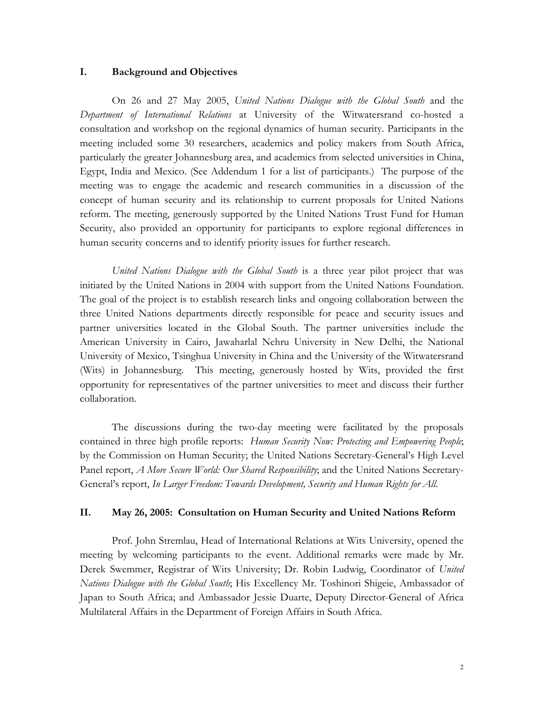#### **I. Background and Objectives**

On 26 and 27 May 2005, *United Nations Dialogue with the Global South* and the *Department of International Relations* at University of the Witwatersrand co-hosted a consultation and workshop on the regional dynamics of human security. Participants in the meeting included some 30 researchers, academics and policy makers from South Africa, particularly the greater Johannesburg area, and academics from selected universities in China, Egypt, India and Mexico. (See Addendum 1 for a list of participants.) The purpose of the meeting was to engage the academic and research communities in a discussion of the concept of human security and its relationship to current proposals for United Nations reform. The meeting, generously supported by the United Nations Trust Fund for Human Security, also provided an opportunity for participants to explore regional differences in human security concerns and to identify priority issues for further research.

*United Nations Dialogue with the Global South* is a three year pilot project that was initiated by the United Nations in 2004 with support from the United Nations Foundation. The goal of the project is to establish research links and ongoing collaboration between the three United Nations departments directly responsible for peace and security issues and partner universities located in the Global South. The partner universities include the American University in Cairo, Jawaharlal Nehru University in New Delhi, the National University of Mexico, Tsinghua University in China and the University of the Witwatersrand (Wits) in Johannesburg. This meeting, generously hosted by Wits, provided the first opportunity for representatives of the partner universities to meet and discuss their further collaboration.

The discussions during the two-day meeting were facilitated by the proposals contained in three high profile reports: *Human Security Now: Protecting and Empowering People*; by the Commission on Human Security; the United Nations Secretary-General's High Level Panel report, *A More Secure World: Our Shared Responsibility*; and the United Nations Secretary-General's report, *In Larger Freedom: Towards Development, Security and Human Rights for All*.

#### **II. May 26, 2005: Consultation on Human Security and United Nations Reform**

Prof. John Stremlau, Head of International Relations at Wits University, opened the meeting by welcoming participants to the event. Additional remarks were made by Mr. Derek Swemmer, Registrar of Wits University; Dr. Robin Ludwig, Coordinator of *United Nations Dialogue with the Global South*; His Excellency Mr. Toshinori Shigeie, Ambassador of Japan to South Africa; and Ambassador Jessie Duarte, Deputy Director-General of Africa Multilateral Affairs in the Department of Foreign Affairs in South Africa.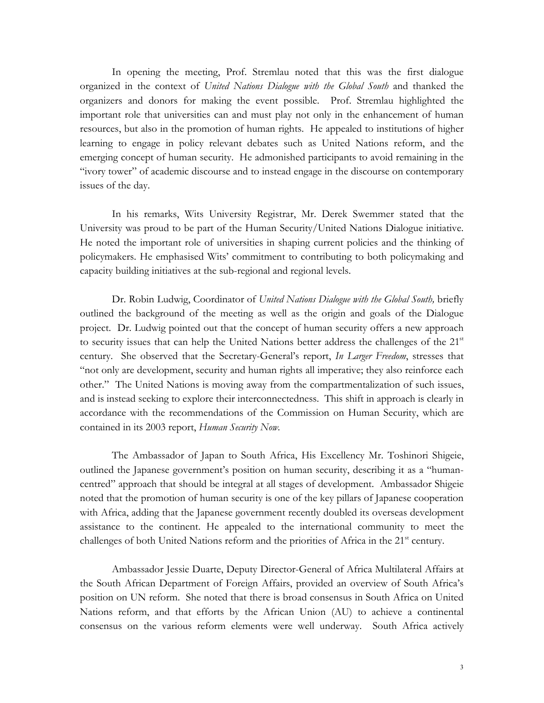In opening the meeting, Prof. Stremlau noted that this was the first dialogue organized in the context of *United Nations Dialogue with the Global South* and thanked the organizers and donors for making the event possible. Prof. Stremlau highlighted the important role that universities can and must play not only in the enhancement of human resources, but also in the promotion of human rights. He appealed to institutions of higher learning to engage in policy relevant debates such as United Nations reform, and the emerging concept of human security. He admonished participants to avoid remaining in the "ivory tower" of academic discourse and to instead engage in the discourse on contemporary issues of the day.

In his remarks, Wits University Registrar, Mr. Derek Swemmer stated that the University was proud to be part of the Human Security/United Nations Dialogue initiative. He noted the important role of universities in shaping current policies and the thinking of policymakers. He emphasised Wits' commitment to contributing to both policymaking and capacity building initiatives at the sub-regional and regional levels.

Dr. Robin Ludwig, Coordinator of *United Nations Dialogue with the Global South,* briefly outlined the background of the meeting as well as the origin and goals of the Dialogue project. Dr. Ludwig pointed out that the concept of human security offers a new approach to security issues that can help the United Nations better address the challenges of the 21<sup>st</sup> century. She observed that the Secretary-General's report, *In Larger Freedom*, stresses that "not only are development, security and human rights all imperative; they also reinforce each other." The United Nations is moving away from the compartmentalization of such issues, and is instead seeking to explore their interconnectedness. This shift in approach is clearly in accordance with the recommendations of the Commission on Human Security, which are contained in its 2003 report, *Human Security Now.*

The Ambassador of Japan to South Africa, His Excellency Mr. Toshinori Shigeie, outlined the Japanese government's position on human security, describing it as a "humancentred" approach that should be integral at all stages of development. Ambassador Shigeie noted that the promotion of human security is one of the key pillars of Japanese cooperation with Africa, adding that the Japanese government recently doubled its overseas development assistance to the continent. He appealed to the international community to meet the challenges of both United Nations reform and the priorities of Africa in the  $21<sup>st</sup>$  century.

Ambassador Jessie Duarte, Deputy Director-General of Africa Multilateral Affairs at the South African Department of Foreign Affairs, provided an overview of South Africa's position on UN reform. She noted that there is broad consensus in South Africa on United Nations reform, and that efforts by the African Union (AU) to achieve a continental consensus on the various reform elements were well underway. South Africa actively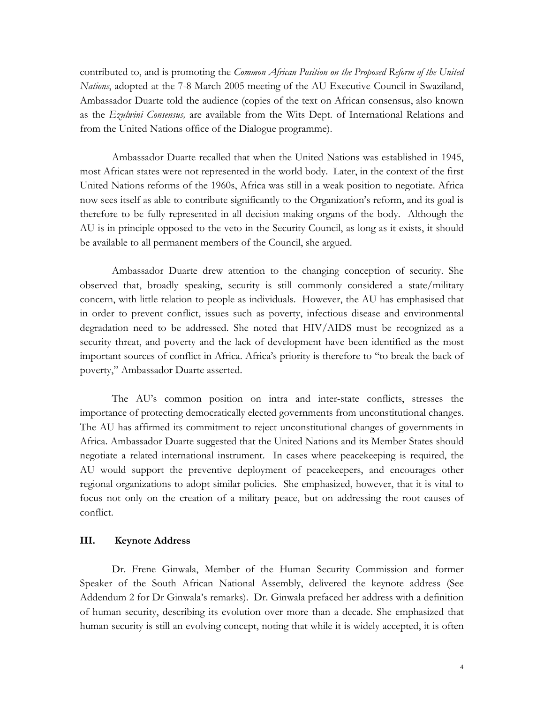contributed to, and is promoting the *Common African Position on the Proposed Reform of the United Nations*, adopted at the 7-8 March 2005 meeting of the AU Executive Council in Swaziland, Ambassador Duarte told the audience (copies of the text on African consensus, also known as the *Ezulwini Consensus,* are available from the Wits Dept. of International Relations and from the United Nations office of the Dialogue programme).

Ambassador Duarte recalled that when the United Nations was established in 1945, most African states were not represented in the world body. Later, in the context of the first United Nations reforms of the 1960s, Africa was still in a weak position to negotiate. Africa now sees itself as able to contribute significantly to the Organization's reform, and its goal is therefore to be fully represented in all decision making organs of the body. Although the AU is in principle opposed to the veto in the Security Council, as long as it exists, it should be available to all permanent members of the Council, she argued.

Ambassador Duarte drew attention to the changing conception of security. She observed that, broadly speaking, security is still commonly considered a state/military concern, with little relation to people as individuals. However, the AU has emphasised that in order to prevent conflict, issues such as poverty, infectious disease and environmental degradation need to be addressed. She noted that HIV/AIDS must be recognized as a security threat, and poverty and the lack of development have been identified as the most important sources of conflict in Africa. Africa's priority is therefore to "to break the back of poverty," Ambassador Duarte asserted.

The AU's common position on intra and inter-state conflicts, stresses the importance of protecting democratically elected governments from unconstitutional changes. The AU has affirmed its commitment to reject unconstitutional changes of governments in Africa. Ambassador Duarte suggested that the United Nations and its Member States should negotiate a related international instrument. In cases where peacekeeping is required, the AU would support the preventive deployment of peacekeepers, and encourages other regional organizations to adopt similar policies. She emphasized, however, that it is vital to focus not only on the creation of a military peace, but on addressing the root causes of conflict.

#### **III. Keynote Address**

Dr. Frene Ginwala, Member of the Human Security Commission and former Speaker of the South African National Assembly, delivered the keynote address (See Addendum 2 for Dr Ginwala's remarks). Dr. Ginwala prefaced her address with a definition of human security, describing its evolution over more than a decade. She emphasized that human security is still an evolving concept, noting that while it is widely accepted, it is often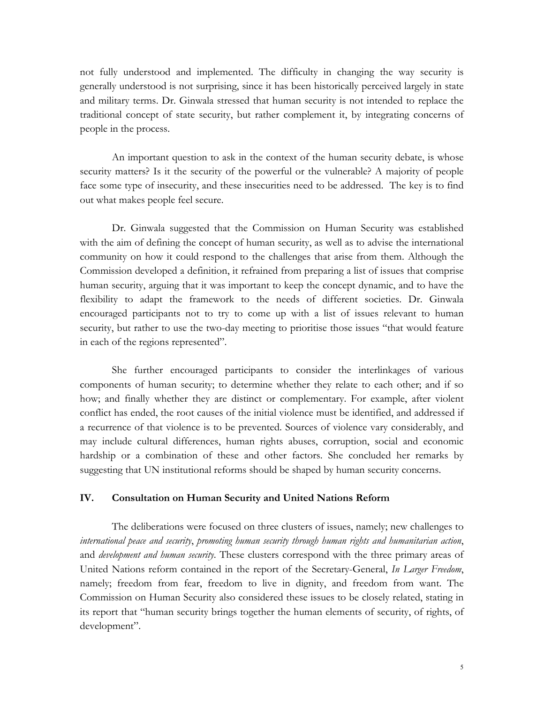not fully understood and implemented. The difficulty in changing the way security is generally understood is not surprising, since it has been historically perceived largely in state and military terms. Dr. Ginwala stressed that human security is not intended to replace the traditional concept of state security, but rather complement it, by integrating concerns of people in the process.

An important question to ask in the context of the human security debate, is whose security matters? Is it the security of the powerful or the vulnerable? A majority of people face some type of insecurity, and these insecurities need to be addressed. The key is to find out what makes people feel secure.

Dr. Ginwala suggested that the Commission on Human Security was established with the aim of defining the concept of human security, as well as to advise the international community on how it could respond to the challenges that arise from them. Although the Commission developed a definition, it refrained from preparing a list of issues that comprise human security, arguing that it was important to keep the concept dynamic, and to have the flexibility to adapt the framework to the needs of different societies. Dr. Ginwala encouraged participants not to try to come up with a list of issues relevant to human security, but rather to use the two-day meeting to prioritise those issues "that would feature in each of the regions represented".

She further encouraged participants to consider the interlinkages of various components of human security; to determine whether they relate to each other; and if so how; and finally whether they are distinct or complementary. For example, after violent conflict has ended, the root causes of the initial violence must be identified, and addressed if a recurrence of that violence is to be prevented. Sources of violence vary considerably, and may include cultural differences, human rights abuses, corruption, social and economic hardship or a combination of these and other factors. She concluded her remarks by suggesting that UN institutional reforms should be shaped by human security concerns.

#### **IV. Consultation on Human Security and United Nations Reform**

The deliberations were focused on three clusters of issues, namely; new challenges to *international peace and security*, *promoting human security through human rights and humanitarian action*, and *development and human security*. These clusters correspond with the three primary areas of United Nations reform contained in the report of the Secretary-General, *In Larger Freedom*, namely; freedom from fear, freedom to live in dignity, and freedom from want. The Commission on Human Security also considered these issues to be closely related, stating in its report that "human security brings together the human elements of security, of rights, of development".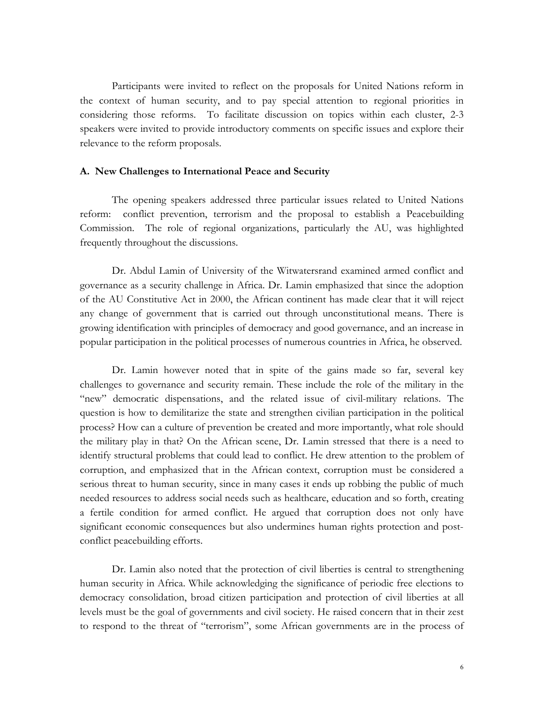Participants were invited to reflect on the proposals for United Nations reform in the context of human security, and to pay special attention to regional priorities in considering those reforms. To facilitate discussion on topics within each cluster, 2-3 speakers were invited to provide introductory comments on specific issues and explore their relevance to the reform proposals.

#### **A. New Challenges to International Peace and Security**

The opening speakers addressed three particular issues related to United Nations reform: conflict prevention, terrorism and the proposal to establish a Peacebuilding Commission. The role of regional organizations, particularly the AU, was highlighted frequently throughout the discussions.

Dr. Abdul Lamin of University of the Witwatersrand examined armed conflict and governance as a security challenge in Africa. Dr. Lamin emphasized that since the adoption of the AU Constitutive Act in 2000, the African continent has made clear that it will reject any change of government that is carried out through unconstitutional means. There is growing identification with principles of democracy and good governance, and an increase in popular participation in the political processes of numerous countries in Africa, he observed.

Dr. Lamin however noted that in spite of the gains made so far, several key challenges to governance and security remain. These include the role of the military in the "new" democratic dispensations, and the related issue of civil-military relations. The question is how to demilitarize the state and strengthen civilian participation in the political process? How can a culture of prevention be created and more importantly, what role should the military play in that? On the African scene, Dr. Lamin stressed that there is a need to identify structural problems that could lead to conflict. He drew attention to the problem of corruption, and emphasized that in the African context, corruption must be considered a serious threat to human security, since in many cases it ends up robbing the public of much needed resources to address social needs such as healthcare, education and so forth, creating a fertile condition for armed conflict. He argued that corruption does not only have significant economic consequences but also undermines human rights protection and postconflict peacebuilding efforts.

Dr. Lamin also noted that the protection of civil liberties is central to strengthening human security in Africa. While acknowledging the significance of periodic free elections to democracy consolidation, broad citizen participation and protection of civil liberties at all levels must be the goal of governments and civil society. He raised concern that in their zest to respond to the threat of "terrorism", some African governments are in the process of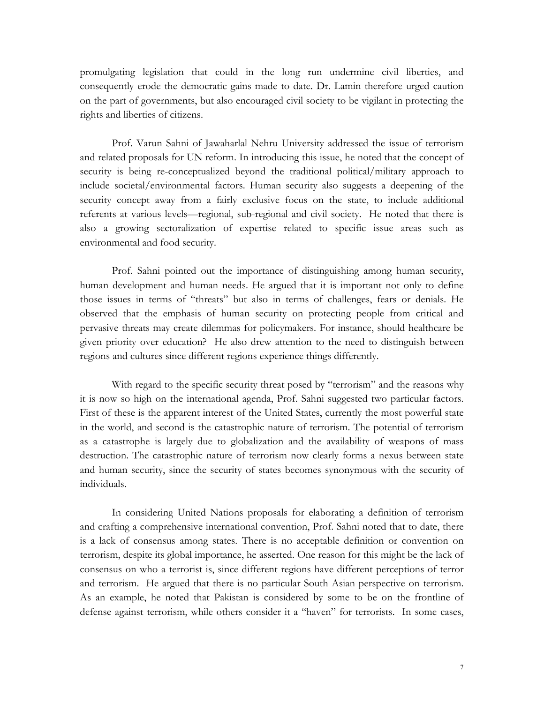promulgating legislation that could in the long run undermine civil liberties, and consequently erode the democratic gains made to date. Dr. Lamin therefore urged caution on the part of governments, but also encouraged civil society to be vigilant in protecting the rights and liberties of citizens.

Prof. Varun Sahni of Jawaharlal Nehru University addressed the issue of terrorism and related proposals for UN reform. In introducing this issue, he noted that the concept of security is being re-conceptualized beyond the traditional political/military approach to include societal/environmental factors. Human security also suggests a deepening of the security concept away from a fairly exclusive focus on the state, to include additional referents at various levels—regional, sub-regional and civil society. He noted that there is also a growing sectoralization of expertise related to specific issue areas such as environmental and food security.

Prof. Sahni pointed out the importance of distinguishing among human security, human development and human needs. He argued that it is important not only to define those issues in terms of "threats" but also in terms of challenges, fears or denials. He observed that the emphasis of human security on protecting people from critical and pervasive threats may create dilemmas for policymakers. For instance, should healthcare be given priority over education? He also drew attention to the need to distinguish between regions and cultures since different regions experience things differently.

With regard to the specific security threat posed by "terrorism" and the reasons why it is now so high on the international agenda, Prof. Sahni suggested two particular factors. First of these is the apparent interest of the United States, currently the most powerful state in the world, and second is the catastrophic nature of terrorism. The potential of terrorism as a catastrophe is largely due to globalization and the availability of weapons of mass destruction. The catastrophic nature of terrorism now clearly forms a nexus between state and human security, since the security of states becomes synonymous with the security of individuals.

In considering United Nations proposals for elaborating a definition of terrorism and crafting a comprehensive international convention, Prof. Sahni noted that to date, there is a lack of consensus among states. There is no acceptable definition or convention on terrorism, despite its global importance, he asserted. One reason for this might be the lack of consensus on who a terrorist is, since different regions have different perceptions of terror and terrorism. He argued that there is no particular South Asian perspective on terrorism. As an example, he noted that Pakistan is considered by some to be on the frontline of defense against terrorism, while others consider it a "haven" for terrorists. In some cases,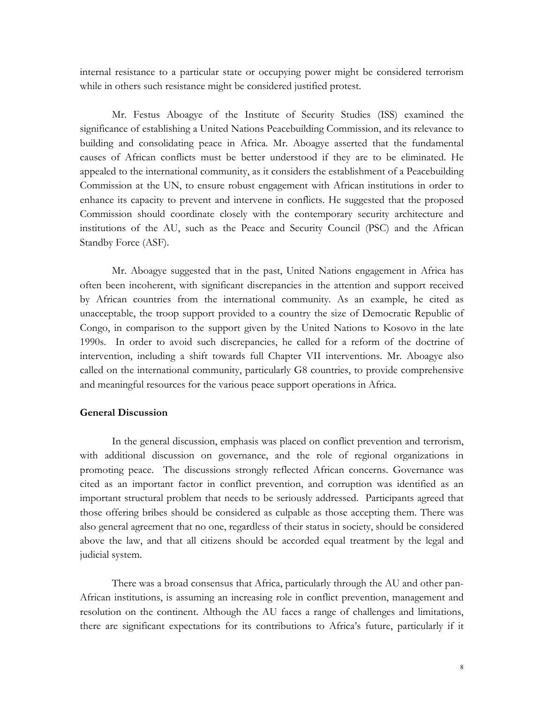internal resistance to a particular state or occupying power might be considered terrorism while in others such resistance might be considered justified protest.

Mr. Festus Aboagye of the Institute of Security Studies (ISS) examined the significance of establishing a United Nations Peacebuilding Commission, and its relevance to building and consolidating peace in Africa. Mr. Aboagye asserted that the fundamental causes of African conflicts must be better understood if they are to be eliminated. He appealed to the international community, as it considers the establishment of a Peacebuilding Commission at the UN, to ensure robust engagement with African institutions in order to enhance its capacity to prevent and intervene in conflicts. He suggested that the proposed Commission should coordinate closely with the contemporary security architecture and institutions of the AU, such as the Peace and Security Council (PSC) and the African Standby Force (ASF).

Mr. Aboagye suggested that in the past, United Nations engagement in Africa has often been incoherent, with significant discrepancies in the attention and support received by African countries from the international community. As an example, he cited as unacceptable, the troop support provided to a country the size of Democratic Republic of Congo, in comparison to the support given by the United Nations to Kosovo in the late 1990s. In order to avoid such discrepancies, he called for a reform of the doctrine of intervention, including a shift towards full Chapter VII interventions. Mr. Aboagye also called on the international community, particularly G8 countries, to provide comprehensive and meaningful resources for the various peace support operations in Africa.

#### **General Discussion**

In the general discussion, emphasis was placed on conflict prevention and terrorism, with additional discussion on governance, and the role of regional organizations in promoting peace. The discussions strongly reflected African concerns. Governance was cited as an important factor in conflict prevention, and corruption was identified as an important structural problem that needs to be seriously addressed. Participants agreed that those offering bribes should be considered as culpable as those accepting them. There was also general agreement that no one, regardless of their status in society, should be considered above the law, and that all citizens should be accorded equal treatment by the legal and judicial system.

There was a broad consensus that Africa, particularly through the AU and other pan-African institutions, is assuming an increasing role in conflict prevention, management and resolution on the continent. Although the AU faces a range of challenges and limitations, there are significant expectations for its contributions to Africa's future, particularly if it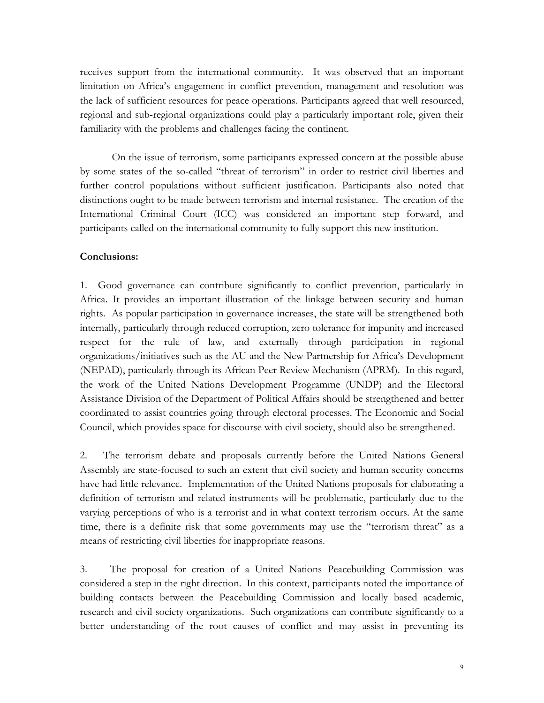receives support from the international community. It was observed that an important limitation on Africa's engagement in conflict prevention, management and resolution was the lack of sufficient resources for peace operations. Participants agreed that well resourced, regional and sub-regional organizations could play a particularly important role, given their familiarity with the problems and challenges facing the continent.

On the issue of terrorism, some participants expressed concern at the possible abuse by some states of the so-called "threat of terrorism" in order to restrict civil liberties and further control populations without sufficient justification. Participants also noted that distinctions ought to be made between terrorism and internal resistance. The creation of the International Criminal Court (ICC) was considered an important step forward, and participants called on the international community to fully support this new institution.

#### **Conclusions:**

1. Good governance can contribute significantly to conflict prevention, particularly in Africa. It provides an important illustration of the linkage between security and human rights. As popular participation in governance increases, the state will be strengthened both internally, particularly through reduced corruption, zero tolerance for impunity and increased respect for the rule of law, and externally through participation in regional organizations/initiatives such as the AU and the New Partnership for Africa's Development (NEPAD), particularly through its African Peer Review Mechanism (APRM). In this regard, the work of the United Nations Development Programme (UNDP) and the Electoral Assistance Division of the Department of Political Affairs should be strengthened and better coordinated to assist countries going through electoral processes. The Economic and Social Council, which provides space for discourse with civil society, should also be strengthened.

2. The terrorism debate and proposals currently before the United Nations General Assembly are state-focused to such an extent that civil society and human security concerns have had little relevance. Implementation of the United Nations proposals for elaborating a definition of terrorism and related instruments will be problematic, particularly due to the varying perceptions of who is a terrorist and in what context terrorism occurs. At the same time, there is a definite risk that some governments may use the "terrorism threat" as a means of restricting civil liberties for inappropriate reasons.

3. The proposal for creation of a United Nations Peacebuilding Commission was considered a step in the right direction. In this context, participants noted the importance of building contacts between the Peacebuilding Commission and locally based academic, research and civil society organizations. Such organizations can contribute significantly to a better understanding of the root causes of conflict and may assist in preventing its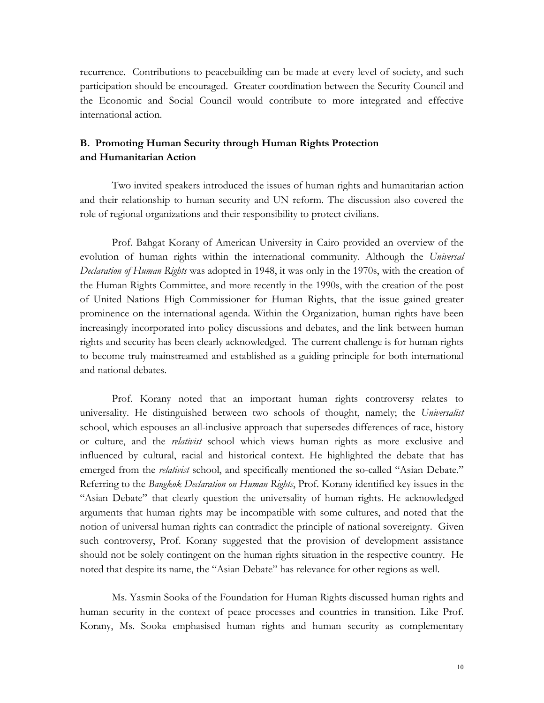recurrence. Contributions to peacebuilding can be made at every level of society, and such participation should be encouraged. Greater coordination between the Security Council and the Economic and Social Council would contribute to more integrated and effective international action.

### **B. Promoting Human Security through Human Rights Protection and Humanitarian Action**

Two invited speakers introduced the issues of human rights and humanitarian action and their relationship to human security and UN reform. The discussion also covered the role of regional organizations and their responsibility to protect civilians.

Prof. Bahgat Korany of American University in Cairo provided an overview of the evolution of human rights within the international community. Although the *Universal Declaration of Human Rights* was adopted in 1948, it was only in the 1970s, with the creation of the Human Rights Committee, and more recently in the 1990s, with the creation of the post of United Nations High Commissioner for Human Rights, that the issue gained greater prominence on the international agenda. Within the Organization, human rights have been increasingly incorporated into policy discussions and debates, and the link between human rights and security has been clearly acknowledged. The current challenge is for human rights to become truly mainstreamed and established as a guiding principle for both international and national debates.

Prof. Korany noted that an important human rights controversy relates to universality. He distinguished between two schools of thought, namely; the *Universalist* school, which espouses an all-inclusive approach that supersedes differences of race, history or culture, and the *relativist* school which views human rights as more exclusive and influenced by cultural, racial and historical context. He highlighted the debate that has emerged from the *relativist* school, and specifically mentioned the so-called "Asian Debate." Referring to the *Bangkok Declaration on Human Rights*, Prof. Korany identified key issues in the "Asian Debate" that clearly question the universality of human rights. He acknowledged arguments that human rights may be incompatible with some cultures, and noted that the notion of universal human rights can contradict the principle of national sovereignty. Given such controversy, Prof. Korany suggested that the provision of development assistance should not be solely contingent on the human rights situation in the respective country. He noted that despite its name, the "Asian Debate" has relevance for other regions as well.

Ms. Yasmin Sooka of the Foundation for Human Rights discussed human rights and human security in the context of peace processes and countries in transition. Like Prof. Korany, Ms. Sooka emphasised human rights and human security as complementary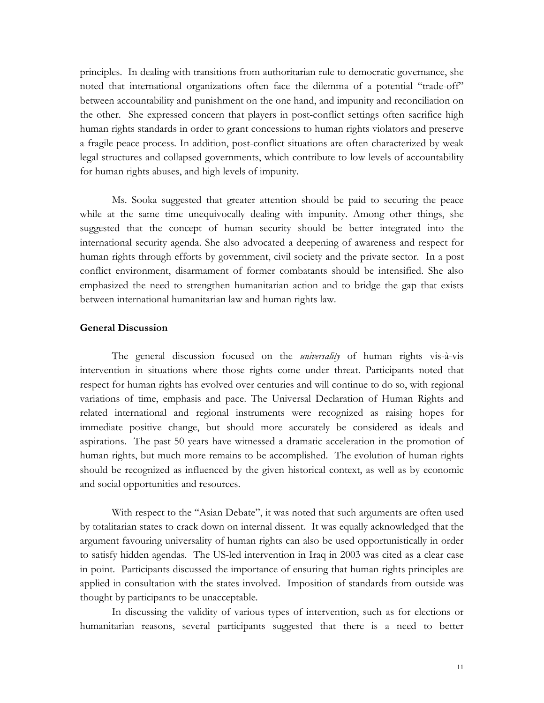principles. In dealing with transitions from authoritarian rule to democratic governance, she noted that international organizations often face the dilemma of a potential "trade-off" between accountability and punishment on the one hand, and impunity and reconciliation on the other. She expressed concern that players in post-conflict settings often sacrifice high human rights standards in order to grant concessions to human rights violators and preserve a fragile peace process. In addition, post-conflict situations are often characterized by weak legal structures and collapsed governments, which contribute to low levels of accountability for human rights abuses, and high levels of impunity.

Ms. Sooka suggested that greater attention should be paid to securing the peace while at the same time unequivocally dealing with impunity. Among other things, she suggested that the concept of human security should be better integrated into the international security agenda. She also advocated a deepening of awareness and respect for human rights through efforts by government, civil society and the private sector. In a post conflict environment, disarmament of former combatants should be intensified. She also emphasized the need to strengthen humanitarian action and to bridge the gap that exists between international humanitarian law and human rights law.

#### **General Discussion**

The general discussion focused on the *universality* of human rights vis-à-vis intervention in situations where those rights come under threat. Participants noted that respect for human rights has evolved over centuries and will continue to do so, with regional variations of time, emphasis and pace. The Universal Declaration of Human Rights and related international and regional instruments were recognized as raising hopes for immediate positive change, but should more accurately be considered as ideals and aspirations. The past 50 years have witnessed a dramatic acceleration in the promotion of human rights, but much more remains to be accomplished. The evolution of human rights should be recognized as influenced by the given historical context, as well as by economic and social opportunities and resources.

With respect to the "Asian Debate", it was noted that such arguments are often used by totalitarian states to crack down on internal dissent. It was equally acknowledged that the argument favouring universality of human rights can also be used opportunistically in order to satisfy hidden agendas. The US-led intervention in Iraq in 2003 was cited as a clear case in point. Participants discussed the importance of ensuring that human rights principles are applied in consultation with the states involved. Imposition of standards from outside was thought by participants to be unacceptable.

In discussing the validity of various types of intervention, such as for elections or humanitarian reasons, several participants suggested that there is a need to better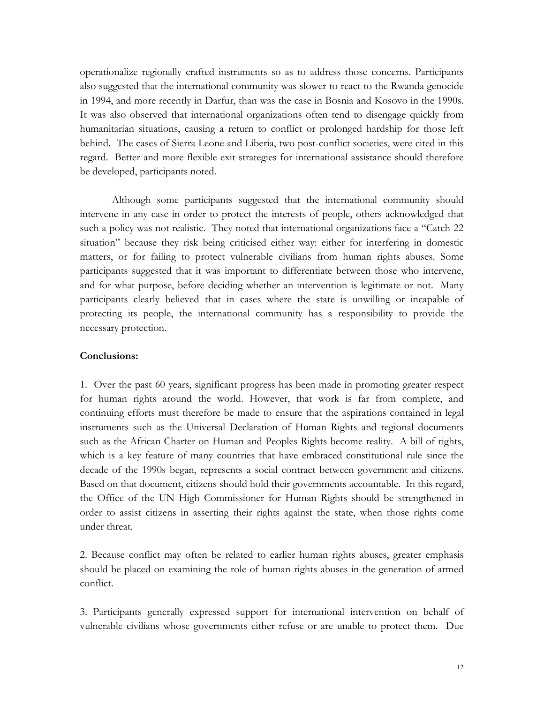operationalize regionally crafted instruments so as to address those concerns. Participants also suggested that the international community was slower to react to the Rwanda genocide in 1994, and more recently in Darfur, than was the case in Bosnia and Kosovo in the 1990s. It was also observed that international organizations often tend to disengage quickly from humanitarian situations, causing a return to conflict or prolonged hardship for those left behind. The cases of Sierra Leone and Liberia, two post-conflict societies, were cited in this regard. Better and more flexible exit strategies for international assistance should therefore be developed, participants noted.

Although some participants suggested that the international community should intervene in any case in order to protect the interests of people, others acknowledged that such a policy was not realistic. They noted that international organizations face a "Catch-22 situation" because they risk being criticised either way: either for interfering in domestic matters, or for failing to protect vulnerable civilians from human rights abuses. Some participants suggested that it was important to differentiate between those who intervene, and for what purpose, before deciding whether an intervention is legitimate or not. Many participants clearly believed that in cases where the state is unwilling or incapable of protecting its people, the international community has a responsibility to provide the necessary protection.

#### **Conclusions:**

1. Over the past 60 years, significant progress has been made in promoting greater respect for human rights around the world. However, that work is far from complete, and continuing efforts must therefore be made to ensure that the aspirations contained in legal instruments such as the Universal Declaration of Human Rights and regional documents such as the African Charter on Human and Peoples Rights become reality. A bill of rights, which is a key feature of many countries that have embraced constitutional rule since the decade of the 1990s began, represents a social contract between government and citizens. Based on that document, citizens should hold their governments accountable. In this regard, the Office of the UN High Commissioner for Human Rights should be strengthened in order to assist citizens in asserting their rights against the state, when those rights come under threat.

2. Because conflict may often be related to earlier human rights abuses, greater emphasis should be placed on examining the role of human rights abuses in the generation of armed conflict.

3. Participants generally expressed support for international intervention on behalf of vulnerable civilians whose governments either refuse or are unable to protect them. Due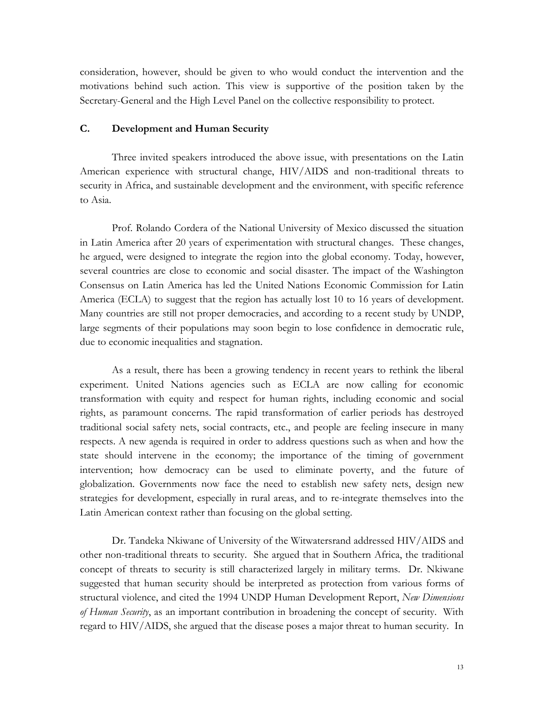consideration, however, should be given to who would conduct the intervention and the motivations behind such action. This view is supportive of the position taken by the Secretary-General and the High Level Panel on the collective responsibility to protect.

#### **C. Development and Human Security**

Three invited speakers introduced the above issue, with presentations on the Latin American experience with structural change, HIV/AIDS and non-traditional threats to security in Africa, and sustainable development and the environment, with specific reference to Asia.

Prof. Rolando Cordera of the National University of Mexico discussed the situation in Latin America after 20 years of experimentation with structural changes. These changes, he argued, were designed to integrate the region into the global economy. Today, however, several countries are close to economic and social disaster. The impact of the Washington Consensus on Latin America has led the United Nations Economic Commission for Latin America (ECLA) to suggest that the region has actually lost 10 to 16 years of development. Many countries are still not proper democracies, and according to a recent study by UNDP, large segments of their populations may soon begin to lose confidence in democratic rule, due to economic inequalities and stagnation.

As a result, there has been a growing tendency in recent years to rethink the liberal experiment. United Nations agencies such as ECLA are now calling for economic transformation with equity and respect for human rights, including economic and social rights, as paramount concerns. The rapid transformation of earlier periods has destroyed traditional social safety nets, social contracts, etc., and people are feeling insecure in many respects. A new agenda is required in order to address questions such as when and how the state should intervene in the economy; the importance of the timing of government intervention; how democracy can be used to eliminate poverty, and the future of globalization. Governments now face the need to establish new safety nets, design new strategies for development, especially in rural areas, and to re-integrate themselves into the Latin American context rather than focusing on the global setting.

Dr. Tandeka Nkiwane of University of the Witwatersrand addressed HIV/AIDS and other non-traditional threats to security. She argued that in Southern Africa, the traditional concept of threats to security is still characterized largely in military terms. Dr. Nkiwane suggested that human security should be interpreted as protection from various forms of structural violence, and cited the 1994 UNDP Human Development Report, *New Dimensions of Human Security*, as an important contribution in broadening the concept of security. With regard to HIV/AIDS, she argued that the disease poses a major threat to human security. In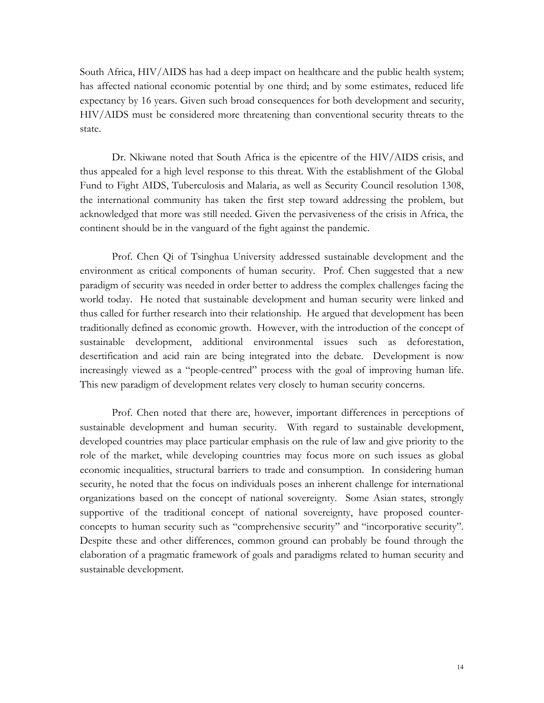South Africa, HIV/AIDS has had a deep impact on healthcare and the public health system; has affected national economic potential by one third; and by some estimates, reduced life expectancy by 16 years. Given such broad consequences for both development and security, HIV/AIDS must be considered more threatening than conventional security threats to the state.

Dr. Nkiwane noted that South Africa is the epicentre of the HIV/AIDS crisis, and thus appealed for a high level response to this threat. With the establishment of the Global Fund to Fight AIDS, Tuberculosis and Malaria, as well as Security Council resolution 1308, the international community has taken the first step toward addressing the problem, but acknowledged that more was still needed. Given the pervasiveness of the crisis in Africa, the continent should be in the vanguard of the fight against the pandemic.

Prof. Chen Qi of Tsinghua University addressed sustainable development and the environment as critical components of human security. Prof. Chen suggested that a new paradigm of security was needed in order better to address the complex challenges facing the world today. He noted that sustainable development and human security were linked and thus called for further research into their relationship. He argued that development has been traditionally defined as economic growth. However, with the introduction of the concept of sustainable development, additional environmental issues such as deforestation, desertification and acid rain are being integrated into the debate. Development is now increasingly viewed as a "people-centred" process with the goal of improving human life. This new paradigm of development relates very closely to human security concerns.

Prof. Chen noted that there are, however, important differences in perceptions of sustainable development and human security. With regard to sustainable development, developed countries may place particular emphasis on the rule of law and give priority to the role of the market, while developing countries may focus more on such issues as global economic inequalities, structural barriers to trade and consumption. In considering human security, he noted that the focus on individuals poses an inherent challenge for international organizations based on the concept of national sovereignty. Some Asian states, strongly supportive of the traditional concept of national sovereignty, have proposed counterconcepts to human security such as "comprehensive security" and "incorporative security". Despite these and other differences, common ground can probably be found through the elaboration of a pragmatic framework of goals and paradigms related to human security and sustainable development.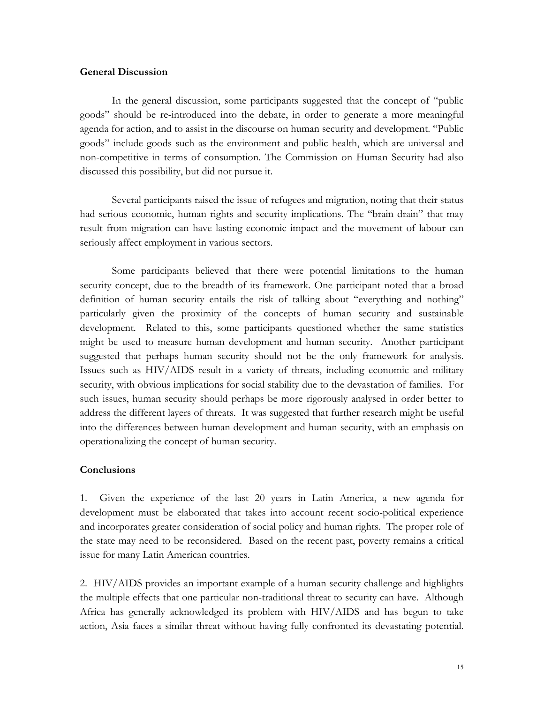#### **General Discussion**

In the general discussion, some participants suggested that the concept of "public goods" should be re-introduced into the debate, in order to generate a more meaningful agenda for action, and to assist in the discourse on human security and development. "Public goods" include goods such as the environment and public health, which are universal and non-competitive in terms of consumption. The Commission on Human Security had also discussed this possibility, but did not pursue it.

Several participants raised the issue of refugees and migration, noting that their status had serious economic, human rights and security implications. The "brain drain" that may result from migration can have lasting economic impact and the movement of labour can seriously affect employment in various sectors.

Some participants believed that there were potential limitations to the human security concept, due to the breadth of its framework. One participant noted that a broad definition of human security entails the risk of talking about "everything and nothing" particularly given the proximity of the concepts of human security and sustainable development. Related to this, some participants questioned whether the same statistics might be used to measure human development and human security. Another participant suggested that perhaps human security should not be the only framework for analysis. Issues such as HIV/AIDS result in a variety of threats, including economic and military security, with obvious implications for social stability due to the devastation of families. For such issues, human security should perhaps be more rigorously analysed in order better to address the different layers of threats. It was suggested that further research might be useful into the differences between human development and human security, with an emphasis on operationalizing the concept of human security.

#### **Conclusions**

1. Given the experience of the last 20 years in Latin America, a new agenda for development must be elaborated that takes into account recent socio-political experience and incorporates greater consideration of social policy and human rights. The proper role of the state may need to be reconsidered. Based on the recent past, poverty remains a critical issue for many Latin American countries.

2. HIV/AIDS provides an important example of a human security challenge and highlights the multiple effects that one particular non-traditional threat to security can have. Although Africa has generally acknowledged its problem with HIV/AIDS and has begun to take action, Asia faces a similar threat without having fully confronted its devastating potential.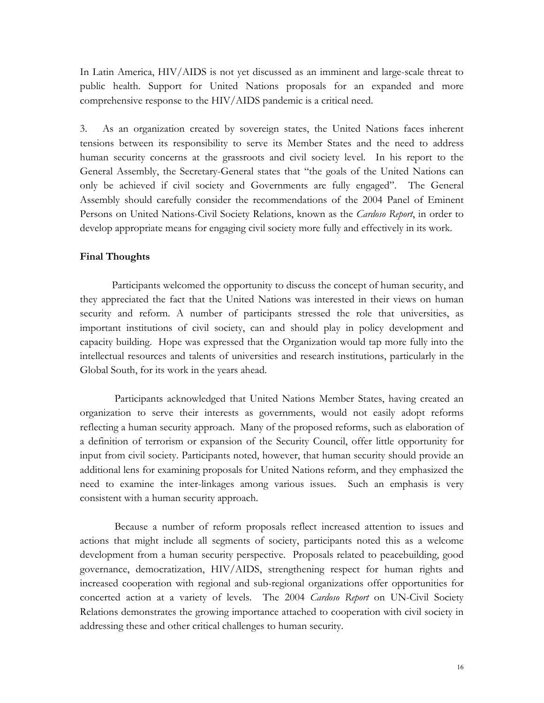In Latin America, HIV/AIDS is not yet discussed as an imminent and large-scale threat to public health. Support for United Nations proposals for an expanded and more comprehensive response to the HIV/AIDS pandemic is a critical need.

3. As an organization created by sovereign states, the United Nations faces inherent tensions between its responsibility to serve its Member States and the need to address human security concerns at the grassroots and civil society level. In his report to the General Assembly, the Secretary-General states that "the goals of the United Nations can only be achieved if civil society and Governments are fully engaged". The General Assembly should carefully consider the recommendations of the 2004 Panel of Eminent Persons on United Nations-Civil Society Relations, known as the *Cardoso Report*, in order to develop appropriate means for engaging civil society more fully and effectively in its work.

#### **Final Thoughts**

Participants welcomed the opportunity to discuss the concept of human security, and they appreciated the fact that the United Nations was interested in their views on human security and reform. A number of participants stressed the role that universities, as important institutions of civil society, can and should play in policy development and capacity building. Hope was expressed that the Organization would tap more fully into the intellectual resources and talents of universities and research institutions, particularly in the Global South, for its work in the years ahead.

Participants acknowledged that United Nations Member States, having created an organization to serve their interests as governments, would not easily adopt reforms reflecting a human security approach. Many of the proposed reforms, such as elaboration of a definition of terrorism or expansion of the Security Council, offer little opportunity for input from civil society. Participants noted, however, that human security should provide an additional lens for examining proposals for United Nations reform, and they emphasized the need to examine the inter-linkages among various issues. Such an emphasis is very consistent with a human security approach.

Because a number of reform proposals reflect increased attention to issues and actions that might include all segments of society, participants noted this as a welcome development from a human security perspective. Proposals related to peacebuilding, good governance, democratization, HIV/AIDS, strengthening respect for human rights and increased cooperation with regional and sub-regional organizations offer opportunities for concerted action at a variety of levels. The 2004 *Cardoso Report* on UN-Civil Society Relations demonstrates the growing importance attached to cooperation with civil society in addressing these and other critical challenges to human security.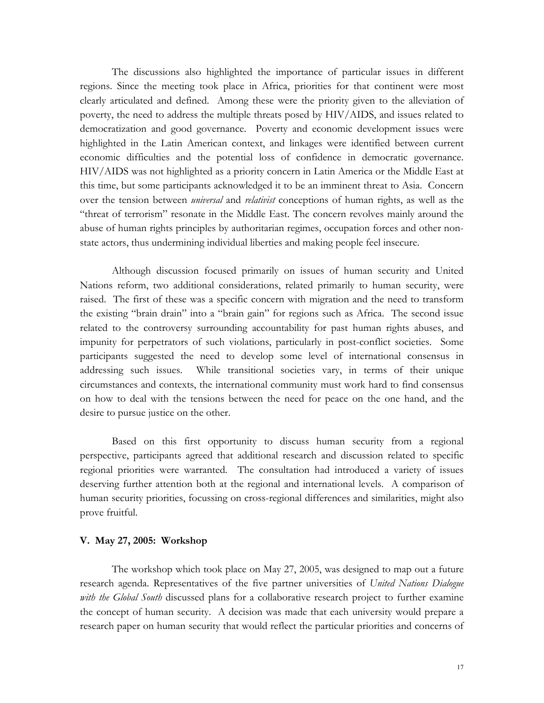The discussions also highlighted the importance of particular issues in different regions. Since the meeting took place in Africa, priorities for that continent were most clearly articulated and defined. Among these were the priority given to the alleviation of poverty, the need to address the multiple threats posed by HIV/AIDS, and issues related to democratization and good governance. Poverty and economic development issues were highlighted in the Latin American context, and linkages were identified between current economic difficulties and the potential loss of confidence in democratic governance. HIV/AIDS was not highlighted as a priority concern in Latin America or the Middle East at this time, but some participants acknowledged it to be an imminent threat to Asia. Concern over the tension between *universal* and *relativist* conceptions of human rights, as well as the "threat of terrorism" resonate in the Middle East. The concern revolves mainly around the abuse of human rights principles by authoritarian regimes, occupation forces and other nonstate actors, thus undermining individual liberties and making people feel insecure.

Although discussion focused primarily on issues of human security and United Nations reform, two additional considerations, related primarily to human security, were raised. The first of these was a specific concern with migration and the need to transform the existing "brain drain" into a "brain gain" for regions such as Africa. The second issue related to the controversy surrounding accountability for past human rights abuses, and impunity for perpetrators of such violations, particularly in post-conflict societies. Some participants suggested the need to develop some level of international consensus in addressing such issues. While transitional societies vary, in terms of their unique circumstances and contexts, the international community must work hard to find consensus on how to deal with the tensions between the need for peace on the one hand, and the desire to pursue justice on the other.

Based on this first opportunity to discuss human security from a regional perspective, participants agreed that additional research and discussion related to specific regional priorities were warranted. The consultation had introduced a variety of issues deserving further attention both at the regional and international levels. A comparison of human security priorities, focussing on cross-regional differences and similarities, might also prove fruitful.

#### **V. May 27, 2005: Workshop**

The workshop which took place on May 27, 2005, was designed to map out a future research agenda. Representatives of the five partner universities of *United Nations Dialogue with the Global South* discussed plans for a collaborative research project to further examine the concept of human security. A decision was made that each university would prepare a research paper on human security that would reflect the particular priorities and concerns of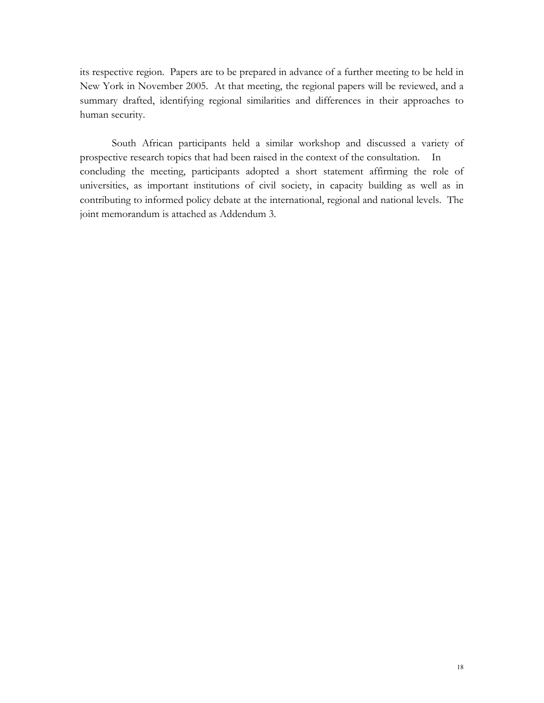its respective region. Papers are to be prepared in advance of a further meeting to be held in New York in November 2005. At that meeting, the regional papers will be reviewed, and a summary drafted, identifying regional similarities and differences in their approaches to human security.

South African participants held a similar workshop and discussed a variety of prospective research topics that had been raised in the context of the consultation. In concluding the meeting, participants adopted a short statement affirming the role of universities, as important institutions of civil society, in capacity building as well as in contributing to informed policy debate at the international, regional and national levels. The joint memorandum is attached as Addendum 3.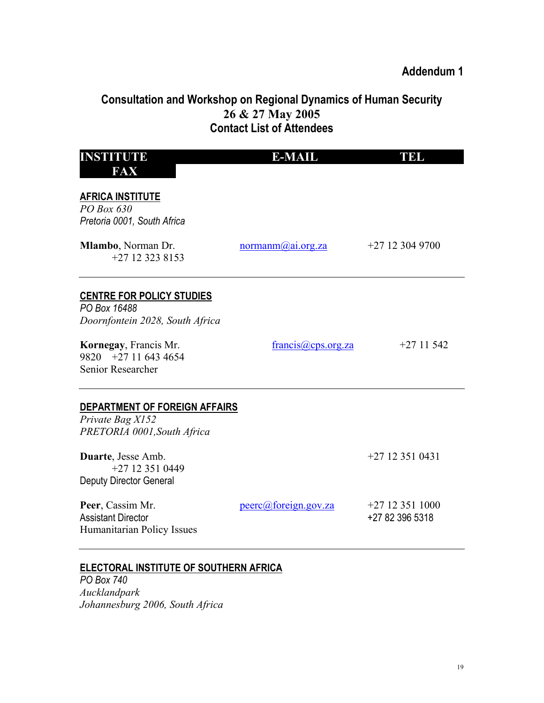# **Consultation and Workshop on Regional Dynamics of Human Security 26 & 27 May 2005 Contact List of Attendees**

| <b>INSTITUTE</b>                                                                        | <b>E-MAIL</b>        | <b>THEL</b>                          |
|-----------------------------------------------------------------------------------------|----------------------|--------------------------------------|
| FAX                                                                                     |                      |                                      |
| <b>AFRICA INSTITUTE</b><br>PO Box 630<br>Pretoria 0001, South Africa                    |                      |                                      |
| Mlambo, Norman Dr.<br>$+27$ 12 323 8153                                                 | normann@ai.org.za    | $+27123049700$                       |
| <b>CENTRE FOR POLICY STUDIES</b><br>PO Box 16488<br>Doornfontein 2028, South Africa     |                      |                                      |
| Kornegay, Francis Mr.<br>$9820 + 27116434654$<br>Senior Researcher                      | francis@cps.org.za   | $+2711542$                           |
| <b>DEPARTMENT OF FOREIGN AFFAIRS</b><br>Private Bag X152<br>PRETORIA 0001, South Africa |                      |                                      |
| Duarte, Jesse Amb.<br>$+27123510449$<br><b>Deputy Director General</b>                  |                      | $+27$ 12 351 0431                    |
| Peer, Cassim Mr.<br><b>Assistant Director</b><br>Humanitarian Policy Issues             | peerc@foreign.gov.za | $+27$ 12 351 1000<br>+27 82 396 5318 |

# **ELECTORAL INSTITUTE OF SOUTHERN AFRICA**

*PO Box 740 Aucklandpark Johannesburg 2006, South Africa*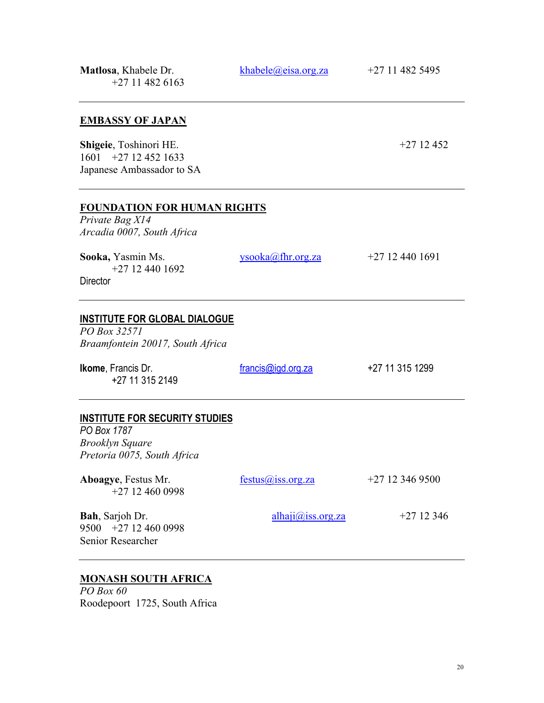| Matlosa, Khabele Dr.<br>$+27114826163$                                                                        | khabele@eisa.org.za    | +27 11 482 5495 |
|---------------------------------------------------------------------------------------------------------------|------------------------|-----------------|
| <b>EMBASSY OF JAPAN</b>                                                                                       |                        |                 |
| Shigeie, Toshinori HE.<br>$1601 + 27124521633$<br>Japanese Ambassador to SA                                   |                        | $+2712452$      |
| <b>FOUNDATION FOR HUMAN RIGHTS</b><br>Private Bag X14<br>Arcadia 0007, South Africa                           |                        |                 |
| Sooka, Yasmin Ms.<br>$+27124401692$<br><b>Director</b>                                                        | $ysooka(a)$ fhr.org.za | $+27124401691$  |
| <b>INSTITUTE FOR GLOBAL DIALOGUE</b><br>PO Box 32571<br>Braamfontein 20017, South Africa                      |                        |                 |
| <b>Ikome, Francis Dr.</b><br>+27 11 315 2149                                                                  | francis@igd.org.za     | +27 11 315 1299 |
| <b>INSTITUTE FOR SECURITY STUDIES</b><br>PO Box 1787<br><b>Brooklyn Square</b><br>Pretoria 0075, South Africa |                        |                 |
| Aboagye, Festus Mr.<br>$+27$ 12 460 0998                                                                      | festus@iss.org.za      | $+27123469500$  |
| Bah, Sarjoh Dr.<br>9500 +27 12 460 0998<br>Senior Researcher                                                  | $alphaii@$ iss.org.za  | $+2712346$      |
|                                                                                                               |                        |                 |

# **MONASH SOUTH AFRICA**

*PO Box 60*  Roodepoort 1725, South Africa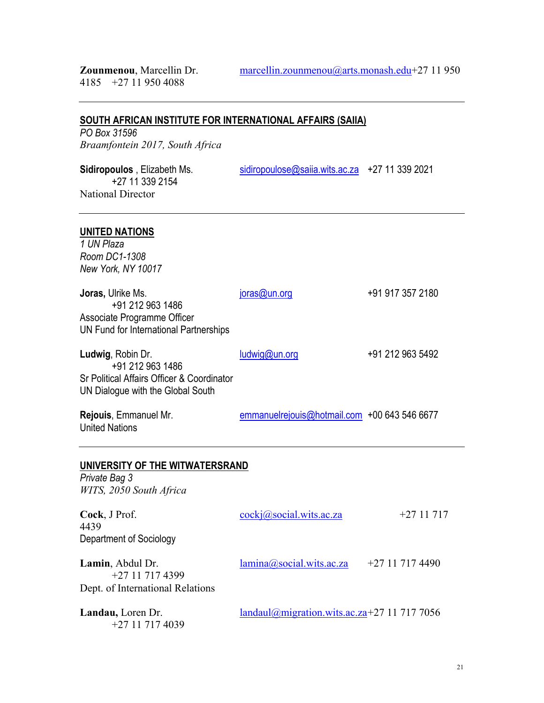### **SOUTH AFRICAN INSTITUTE FOR INTERNATIONAL AFFAIRS (SAIIA)**

*PO Box 31596 Braamfontein 2017, South Africa* 

**Sidiropoulos**, Elizabeth Ms. [sidiropoulose@saiia.wits.ac.za](mailto:sidiropoulose@saiia.wits.ac.za) +27 11 339 2021 +27 11 339 2154 National Director

### **UNITED NATIONS**

*1 UN Plaza Room DC1-1308 New York, NY 10017* 

**Joras,** Ulrike Ms. joras (Qun.org +91 917 357 2180 +91 212 963 1486 Associate Programme Officer UN Fund for International Partnerships

Ludwig, Robin Dr. **[ludwig@un.org](mailto:ludwig@un.org)** +91 212 963 5492 +91 212 963 1486 Sr Political Affairs Officer & Coordinator UN Dialogue with the Global South

**Rejouis**, Emmanuel Mr. [emmanuelrejouis@hotmail.com](mailto:emmanuelrejouis@hotmail.com) +00 643 546 6677 United Nations

### **UNIVERSITY OF THE WITWATERSRAND**

*Private Bag 3 WITS, 2050 South Africa* 

| Cock, J Prof.<br>4439<br>Department of Sociology                       | $\csc(a)$ social.wits.ac.za                 | $+2711717$     |
|------------------------------------------------------------------------|---------------------------------------------|----------------|
| Lamin, Abdul Dr.<br>$+27117174399$<br>Dept. of International Relations | $lamma(\overline{a}$ , social.wits.ac.za    | $+27117174490$ |
| Landau, Loren Dr.<br>+27 11 717 4039                                   | landaul@migration.wits.ac.za+27 11 717 7056 |                |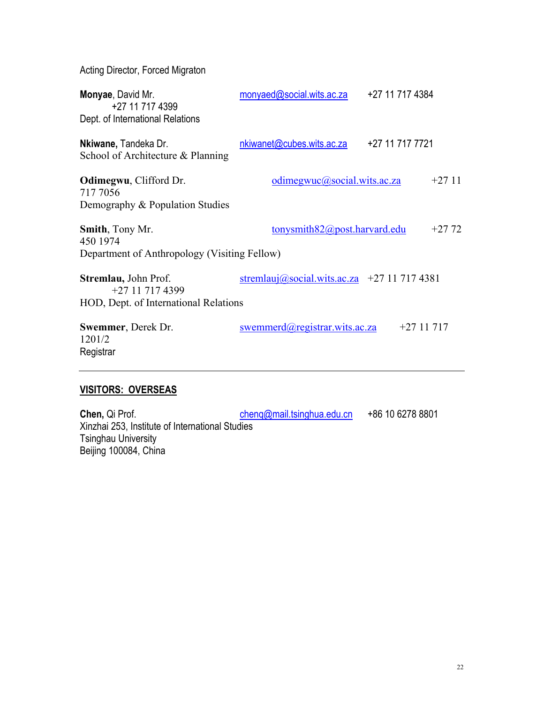Acting Director, Forced Migraton

| Monyae, David Mr.<br>+27 11 717 4399<br>Dept. of International Relations           | monyaed@social.wits.ac.za                   | +27 11 717 4384 |
|------------------------------------------------------------------------------------|---------------------------------------------|-----------------|
| Nkiwane, Tandeka Dr.<br>School of Architecture & Planning                          | nkiwanet@cubes.wits.ac.za                   | +27 11 717 7721 |
| Odimegwu, Clifford Dr.<br>717 7056<br>Demography & Population Studies              | odimegwuc@social.wits.ac.za                 | $+2711$         |
| <b>Smith, Tony Mr.</b><br>450 1974<br>Department of Anthropology (Visiting Fellow) | tonysmith $82@$ post.harvard.edu            | $+27.72$        |
| Stremlau, John Prof.<br>+27 11 717 4399<br>HOD, Dept. of International Relations   | stremlauj@social.wits.ac.za +27 11 717 4381 |                 |
| Swemmer, Derek Dr.<br>1201/2<br>Registrar                                          | swemmerd@registrar.wits.ac.za               | $+2711717$      |

# **VISITORS: OVERSEAS**

**Chen,** Qi Prof. cheng<sub>@mail.tsinghua.edu.cn +86 10 6278 8801</sub> Xinzhai 253, Institute of International Studies Tsinghau University Beijing 100084, China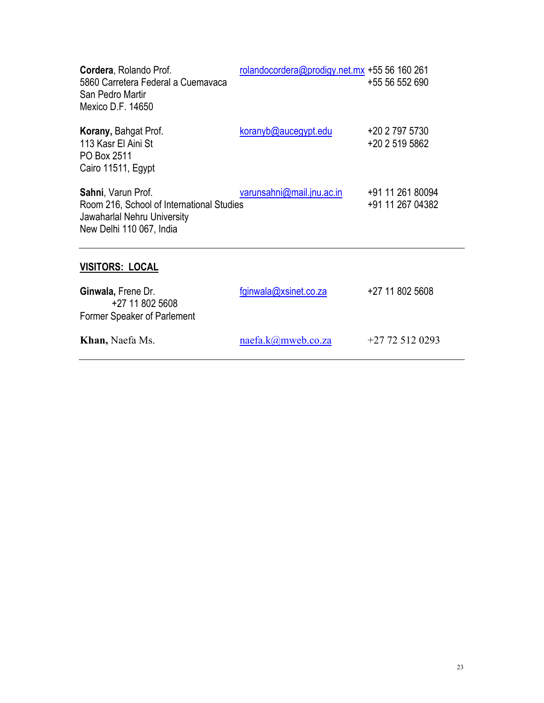| Cordera, Rolando Prof.<br>5860 Carretera Federal a Cuemavaca<br>San Pedro Martir<br>Mexico D.F. 14650                      | rolandocordera@prodigy.net.mx +55 56 160 261 | +55 56 552 690                       |
|----------------------------------------------------------------------------------------------------------------------------|----------------------------------------------|--------------------------------------|
| <b>Korany, Bahgat Prof.</b><br>113 Kasr El Aini St<br>PO Box 2511<br>Cairo 11511, Egypt                                    | koranyb@aucegypt.edu                         | +20 2 797 5730<br>+20 2 519 5862     |
| Sahni, Varun Prof.<br>Room 216, School of International Studies<br>Jawaharlal Nehru University<br>New Delhi 110 067, India | varunsahni@mail.jnu.ac.in                    | +91 11 261 80094<br>+91 11 267 04382 |
| <b>VISITORS: LOCAL</b>                                                                                                     |                                              |                                      |
| Ginwala, Frene Dr.<br>+27 11 802 5608<br>Former Speaker of Parlement                                                       | fginwala@xsinet.co.za                        | +27 11 802 5608                      |
| Khan, Naefa Ms.                                                                                                            | naefa.k@mweb.co.za                           | $+27$ 72 512 0293                    |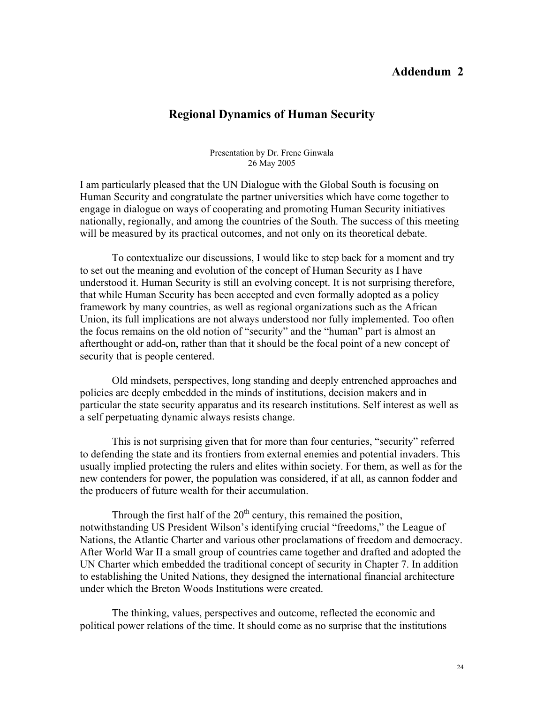# **Addendum 2**

# **Regional Dynamics of Human Security**

Presentation by Dr. Frene Ginwala 26 May 2005

I am particularly pleased that the UN Dialogue with the Global South is focusing on Human Security and congratulate the partner universities which have come together to engage in dialogue on ways of cooperating and promoting Human Security initiatives nationally, regionally, and among the countries of the South. The success of this meeting will be measured by its practical outcomes, and not only on its theoretical debate.

To contextualize our discussions, I would like to step back for a moment and try to set out the meaning and evolution of the concept of Human Security as I have understood it. Human Security is still an evolving concept. It is not surprising therefore, that while Human Security has been accepted and even formally adopted as a policy framework by many countries, as well as regional organizations such as the African Union, its full implications are not always understood nor fully implemented. Too often the focus remains on the old notion of "security" and the "human" part is almost an afterthought or add-on, rather than that it should be the focal point of a new concept of security that is people centered.

 Old mindsets, perspectives, long standing and deeply entrenched approaches and policies are deeply embedded in the minds of institutions, decision makers and in particular the state security apparatus and its research institutions. Self interest as well as a self perpetuating dynamic always resists change.

This is not surprising given that for more than four centuries, "security" referred to defending the state and its frontiers from external enemies and potential invaders. This usually implied protecting the rulers and elites within society. For them, as well as for the new contenders for power, the population was considered, if at all, as cannon fodder and the producers of future wealth for their accumulation.

Through the first half of the  $20<sup>th</sup>$  century, this remained the position, notwithstanding US President Wilson's identifying crucial "freedoms," the League of Nations, the Atlantic Charter and various other proclamations of freedom and democracy. After World War II a small group of countries came together and drafted and adopted the UN Charter which embedded the traditional concept of security in Chapter 7. In addition to establishing the United Nations, they designed the international financial architecture under which the Breton Woods Institutions were created.

The thinking, values, perspectives and outcome, reflected the economic and political power relations of the time. It should come as no surprise that the institutions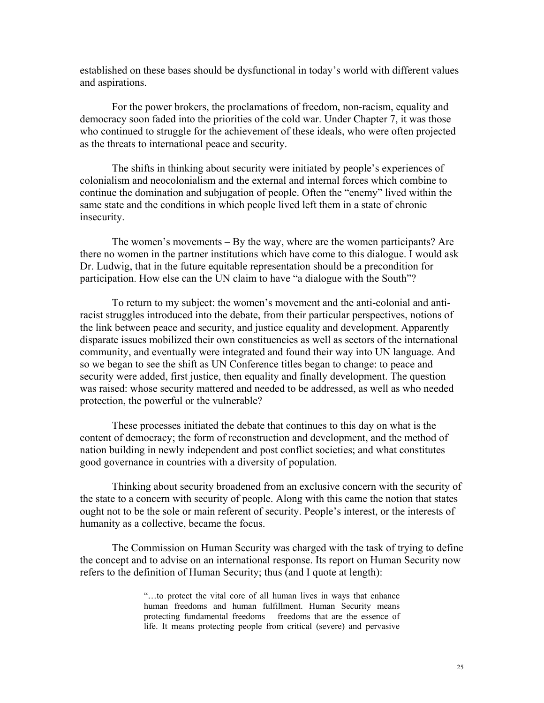established on these bases should be dysfunctional in today's world with different values and aspirations.

For the power brokers, the proclamations of freedom, non-racism, equality and democracy soon faded into the priorities of the cold war. Under Chapter 7, it was those who continued to struggle for the achievement of these ideals, who were often projected as the threats to international peace and security.

The shifts in thinking about security were initiated by people's experiences of colonialism and neocolonialism and the external and internal forces which combine to continue the domination and subjugation of people. Often the "enemy" lived within the same state and the conditions in which people lived left them in a state of chronic insecurity.

The women's movements – By the way, where are the women participants? Are there no women in the partner institutions which have come to this dialogue. I would ask Dr. Ludwig, that in the future equitable representation should be a precondition for participation. How else can the UN claim to have "a dialogue with the South"?

To return to my subject: the women's movement and the anti-colonial and antiracist struggles introduced into the debate, from their particular perspectives, notions of the link between peace and security, and justice equality and development. Apparently disparate issues mobilized their own constituencies as well as sectors of the international community, and eventually were integrated and found their way into UN language. And so we began to see the shift as UN Conference titles began to change: to peace and security were added, first justice, then equality and finally development. The question was raised: whose security mattered and needed to be addressed, as well as who needed protection, the powerful or the vulnerable?

These processes initiated the debate that continues to this day on what is the content of democracy; the form of reconstruction and development, and the method of nation building in newly independent and post conflict societies; and what constitutes good governance in countries with a diversity of population.

Thinking about security broadened from an exclusive concern with the security of the state to a concern with security of people. Along with this came the notion that states ought not to be the sole or main referent of security. People's interest, or the interests of humanity as a collective, became the focus.

The Commission on Human Security was charged with the task of trying to define the concept and to advise on an international response. Its report on Human Security now refers to the definition of Human Security; thus (and I quote at length):

> "…to protect the vital core of all human lives in ways that enhance human freedoms and human fulfillment. Human Security means protecting fundamental freedoms – freedoms that are the essence of life. It means protecting people from critical (severe) and pervasive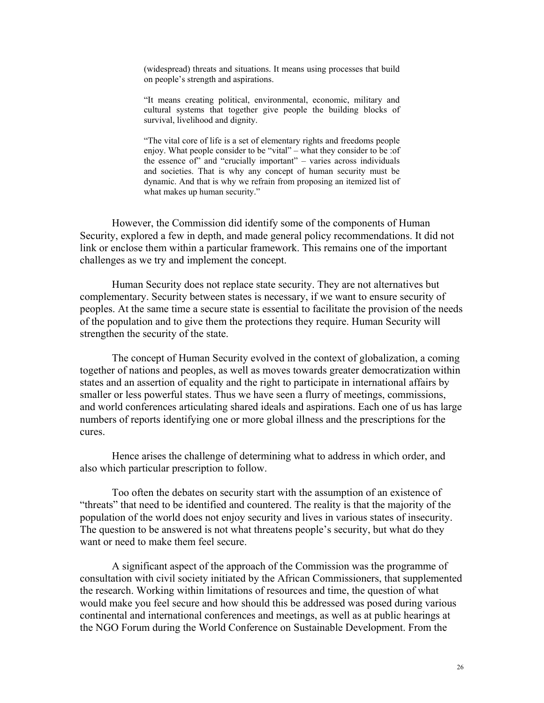(widespread) threats and situations. It means using processes that build on people's strength and aspirations.

"It means creating political, environmental, economic, military and cultural systems that together give people the building blocks of survival, livelihood and dignity.

"The vital core of life is a set of elementary rights and freedoms people enjoy. What people consider to be "vital" – what they consider to be :of the essence of" and "crucially important" – varies across individuals and societies. That is why any concept of human security must be dynamic. And that is why we refrain from proposing an itemized list of what makes up human security."

However, the Commission did identify some of the components of Human Security, explored a few in depth, and made general policy recommendations. It did not link or enclose them within a particular framework. This remains one of the important challenges as we try and implement the concept.

Human Security does not replace state security. They are not alternatives but complementary. Security between states is necessary, if we want to ensure security of peoples. At the same time a secure state is essential to facilitate the provision of the needs of the population and to give them the protections they require. Human Security will strengthen the security of the state.

The concept of Human Security evolved in the context of globalization, a coming together of nations and peoples, as well as moves towards greater democratization within states and an assertion of equality and the right to participate in international affairs by smaller or less powerful states. Thus we have seen a flurry of meetings, commissions, and world conferences articulating shared ideals and aspirations. Each one of us has large numbers of reports identifying one or more global illness and the prescriptions for the cures.

Hence arises the challenge of determining what to address in which order, and also which particular prescription to follow.

Too often the debates on security start with the assumption of an existence of "threats" that need to be identified and countered. The reality is that the majority of the population of the world does not enjoy security and lives in various states of insecurity. The question to be answered is not what threatens people's security, but what do they want or need to make them feel secure.

A significant aspect of the approach of the Commission was the programme of consultation with civil society initiated by the African Commissioners, that supplemented the research. Working within limitations of resources and time, the question of what would make you feel secure and how should this be addressed was posed during various continental and international conferences and meetings, as well as at public hearings at the NGO Forum during the World Conference on Sustainable Development. From the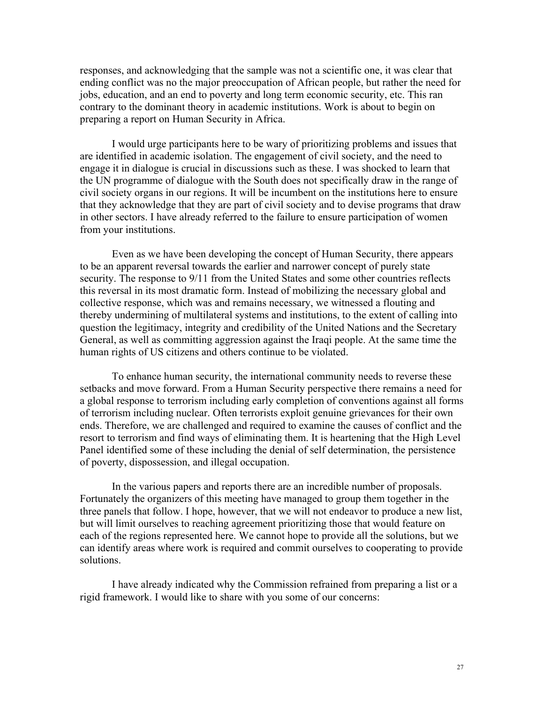responses, and acknowledging that the sample was not a scientific one, it was clear that ending conflict was no the major preoccupation of African people, but rather the need for jobs, education, and an end to poverty and long term economic security, etc. This ran contrary to the dominant theory in academic institutions. Work is about to begin on preparing a report on Human Security in Africa.

I would urge participants here to be wary of prioritizing problems and issues that are identified in academic isolation. The engagement of civil society, and the need to engage it in dialogue is crucial in discussions such as these. I was shocked to learn that the UN programme of dialogue with the South does not specifically draw in the range of civil society organs in our regions. It will be incumbent on the institutions here to ensure that they acknowledge that they are part of civil society and to devise programs that draw in other sectors. I have already referred to the failure to ensure participation of women from your institutions.

Even as we have been developing the concept of Human Security, there appears to be an apparent reversal towards the earlier and narrower concept of purely state security. The response to  $9/11$  from the United States and some other countries reflects this reversal in its most dramatic form. Instead of mobilizing the necessary global and collective response, which was and remains necessary, we witnessed a flouting and thereby undermining of multilateral systems and institutions, to the extent of calling into question the legitimacy, integrity and credibility of the United Nations and the Secretary General, as well as committing aggression against the Iraqi people. At the same time the human rights of US citizens and others continue to be violated.

To enhance human security, the international community needs to reverse these setbacks and move forward. From a Human Security perspective there remains a need for a global response to terrorism including early completion of conventions against all forms of terrorism including nuclear. Often terrorists exploit genuine grievances for their own ends. Therefore, we are challenged and required to examine the causes of conflict and the resort to terrorism and find ways of eliminating them. It is heartening that the High Level Panel identified some of these including the denial of self determination, the persistence of poverty, dispossession, and illegal occupation.

In the various papers and reports there are an incredible number of proposals. Fortunately the organizers of this meeting have managed to group them together in the three panels that follow. I hope, however, that we will not endeavor to produce a new list, but will limit ourselves to reaching agreement prioritizing those that would feature on each of the regions represented here. We cannot hope to provide all the solutions, but we can identify areas where work is required and commit ourselves to cooperating to provide solutions.

I have already indicated why the Commission refrained from preparing a list or a rigid framework. I would like to share with you some of our concerns: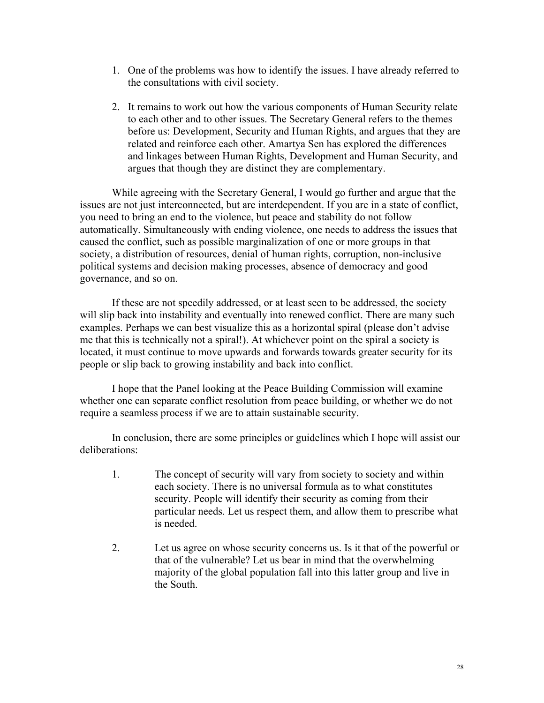- 1. One of the problems was how to identify the issues. I have already referred to the consultations with civil society.
- 2. It remains to work out how the various components of Human Security relate to each other and to other issues. The Secretary General refers to the themes before us: Development, Security and Human Rights, and argues that they are related and reinforce each other. Amartya Sen has explored the differences and linkages between Human Rights, Development and Human Security, and argues that though they are distinct they are complementary.

While agreeing with the Secretary General, I would go further and argue that the issues are not just interconnected, but are interdependent. If you are in a state of conflict, you need to bring an end to the violence, but peace and stability do not follow automatically. Simultaneously with ending violence, one needs to address the issues that caused the conflict, such as possible marginalization of one or more groups in that society, a distribution of resources, denial of human rights, corruption, non-inclusive political systems and decision making processes, absence of democracy and good governance, and so on.

If these are not speedily addressed, or at least seen to be addressed, the society will slip back into instability and eventually into renewed conflict. There are many such examples. Perhaps we can best visualize this as a horizontal spiral (please don't advise me that this is technically not a spiral!). At whichever point on the spiral a society is located, it must continue to move upwards and forwards towards greater security for its people or slip back to growing instability and back into conflict.

I hope that the Panel looking at the Peace Building Commission will examine whether one can separate conflict resolution from peace building, or whether we do not require a seamless process if we are to attain sustainable security.

In conclusion, there are some principles or guidelines which I hope will assist our deliberations:

- 1. The concept of security will vary from society to society and within each society. There is no universal formula as to what constitutes security. People will identify their security as coming from their particular needs. Let us respect them, and allow them to prescribe what is needed.
- 2. Let us agree on whose security concerns us. Is it that of the powerful or that of the vulnerable? Let us bear in mind that the overwhelming majority of the global population fall into this latter group and live in the South.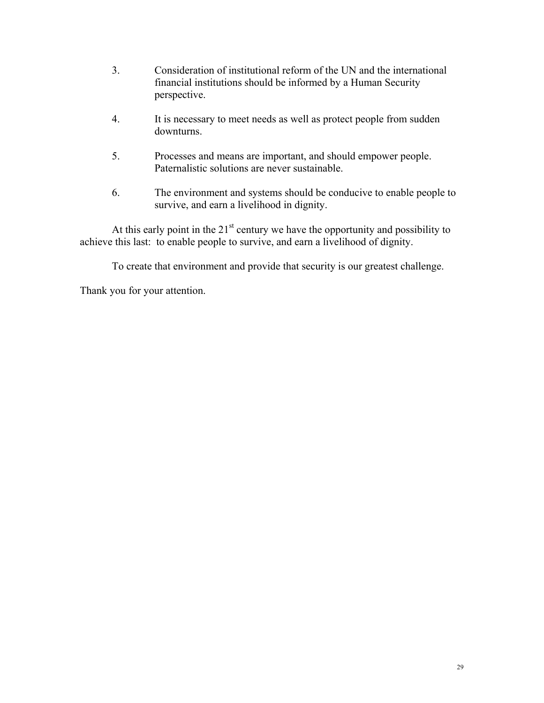- 3. Consideration of institutional reform of the UN and the international financial institutions should be informed by a Human Security perspective.
- 4. It is necessary to meet needs as well as protect people from sudden downturns.
- 5. Processes and means are important, and should empower people. Paternalistic solutions are never sustainable.
- 6. The environment and systems should be conducive to enable people to survive, and earn a livelihood in dignity.

At this early point in the  $21<sup>st</sup>$  century we have the opportunity and possibility to achieve this last: to enable people to survive, and earn a livelihood of dignity.

To create that environment and provide that security is our greatest challenge.

Thank you for your attention.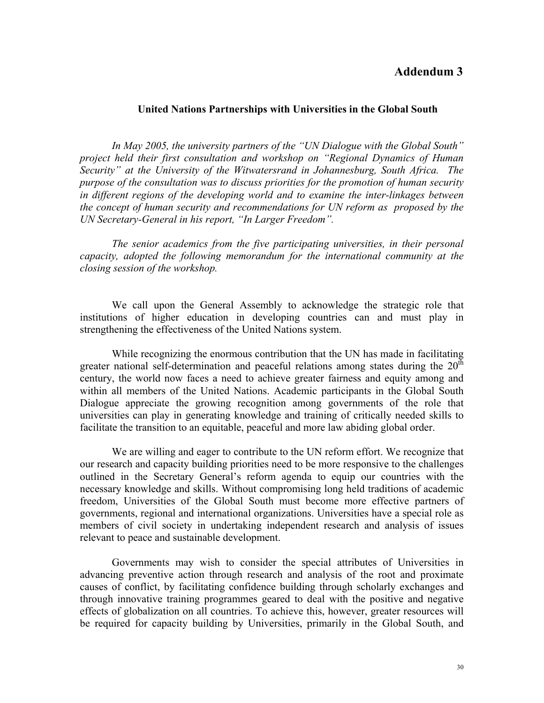### **Addendum 3**

#### **United Nations Partnerships with Universities in the Global South**

*In May 2005, the university partners of the "UN Dialogue with the Global South" project held their first consultation and workshop on "Regional Dynamics of Human Security" at the University of the Witwatersrand in Johannesburg, South Africa. The purpose of the consultation was to discuss priorities for the promotion of human security in different regions of the developing world and to examine the inter-linkages between the concept of human security and recommendations for UN reform as proposed by the UN Secretary-General in his report, "In Larger Freedom".* 

*The senior academics from the five participating universities, in their personal capacity, adopted the following memorandum for the international community at the closing session of the workshop.* 

We call upon the General Assembly to acknowledge the strategic role that institutions of higher education in developing countries can and must play in strengthening the effectiveness of the United Nations system.

While recognizing the enormous contribution that the UN has made in facilitating greater national self-determination and peaceful relations among states during the  $20^{th}$ century, the world now faces a need to achieve greater fairness and equity among and within all members of the United Nations. Academic participants in the Global South Dialogue appreciate the growing recognition among governments of the role that universities can play in generating knowledge and training of critically needed skills to facilitate the transition to an equitable, peaceful and more law abiding global order.

We are willing and eager to contribute to the UN reform effort. We recognize that our research and capacity building priorities need to be more responsive to the challenges outlined in the Secretary General's reform agenda to equip our countries with the necessary knowledge and skills. Without compromising long held traditions of academic freedom, Universities of the Global South must become more effective partners of governments, regional and international organizations. Universities have a special role as members of civil society in undertaking independent research and analysis of issues relevant to peace and sustainable development.

Governments may wish to consider the special attributes of Universities in advancing preventive action through research and analysis of the root and proximate causes of conflict, by facilitating confidence building through scholarly exchanges and through innovative training programmes geared to deal with the positive and negative effects of globalization on all countries. To achieve this, however, greater resources will be required for capacity building by Universities, primarily in the Global South, and